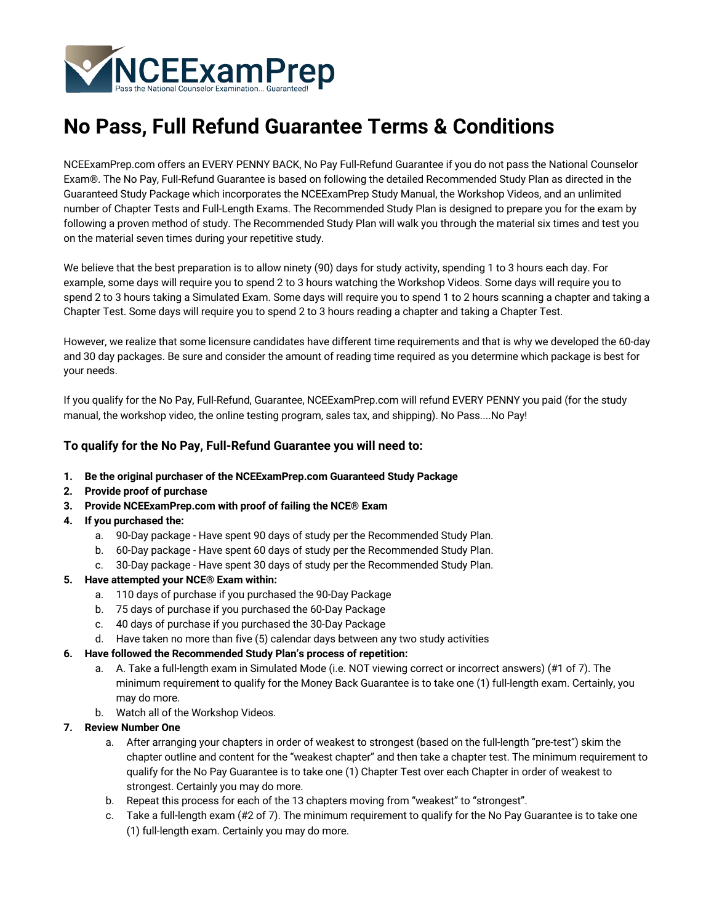

# **No Pass, Full Refund Guarantee Terms & Conditions**

NCEExamPrep.com offers an EVERY PENNY BACK, No Pay Full-Refund Guarantee if you do not pass the National Counselor Exam®. The No Pay, Full-Refund Guarantee is based on following the detailed Recommended Study Plan as directed in the Guaranteed Study Package which incorporates the NCEExamPrep Study Manual, the Workshop Videos, and an unlimited number of Chapter Tests and Full-Length Exams. The Recommended Study Plan is designed to prepare you for the exam by following a proven method of study. The Recommended Study Plan will walk you through the material six times and test you on the material seven times during your repetitive study.

We believe that the best preparation is to allow ninety (90) days for study activity, spending 1 to 3 hours each day. For example, some days will require you to spend 2 to 3 hours watching the Workshop Videos. Some days will require you to spend 2 to 3 hours taking a Simulated Exam. Some days will require you to spend 1 to 2 hours scanning a chapter and taking a Chapter Test. Some days will require you to spend 2 to 3 hours reading a chapter and taking a Chapter Test.

However, we realize that some licensure candidates have different time requirements and that is why we developed the 60-day and 30 day packages. Be sure and consider the amount of reading time required as you determine which package is best for your needs.

If you qualify for the No Pay, Full-Refund, Guarantee, NCEExamPrep.com will refund EVERY PENNY you paid (for the study manual, the workshop video, the online testing program, sales tax, and shipping). No Pass....No Pay!

## **To qualify for the No Pay, Full-Refund Guarantee you will need to:**

- **1. Be the original purchaser of the NCEExamPrep.com Guaranteed Study Package**
- **2. Provide proof of purchase**
- **3. Provide NCEExamPrep.com with proof of failing the NCE® Exam**
- **4. If you purchased the:**
	- a. 90-Day package Have spent 90 days of study per the Recommended Study Plan.
	- b. 60-Day package Have spent 60 days of study per the Recommended Study Plan.
	- c. 30-Day package Have spent 30 days of study per the Recommended Study Plan.
- **5. Have attempted your NCE® Exam within:**
	- a. 110 days of purchase if you purchased the 90-Day Package
	- b. 75 days of purchase if you purchased the 60-Day Package
	- c. 40 days of purchase if you purchased the 30-Day Package
	- d. Have taken no more than five (5) calendar days between any two study activities

## **6. Have followed the Recommended Study Plan's process of repetition:**

- a. A. Take a full-length exam in Simulated Mode (i.e. NOT viewing correct or incorrect answers) (#1 of 7). The minimum requirement to qualify for the Money Back Guarantee is to take one (1) full-length exam. Certainly, you may do more.
- b. Watch all of the Workshop Videos.

## **7. Review Number One**

- a. After arranging your chapters in order of weakest to strongest (based on the full-length "pre-test") skim the chapter outline and content for the "weakest chapter" and then take a chapter test. The minimum requirement to qualify for the No Pay Guarantee is to take one (1) Chapter Test over each Chapter in order of weakest to strongest. Certainly you may do more.
- b. Repeat this process for each of the 13 chapters moving from "weakest" to "strongest".
- c. Take a full-length exam (#2 of 7). The minimum requirement to qualify for the No Pay Guarantee is to take one (1) full-length exam. Certainly you may do more.